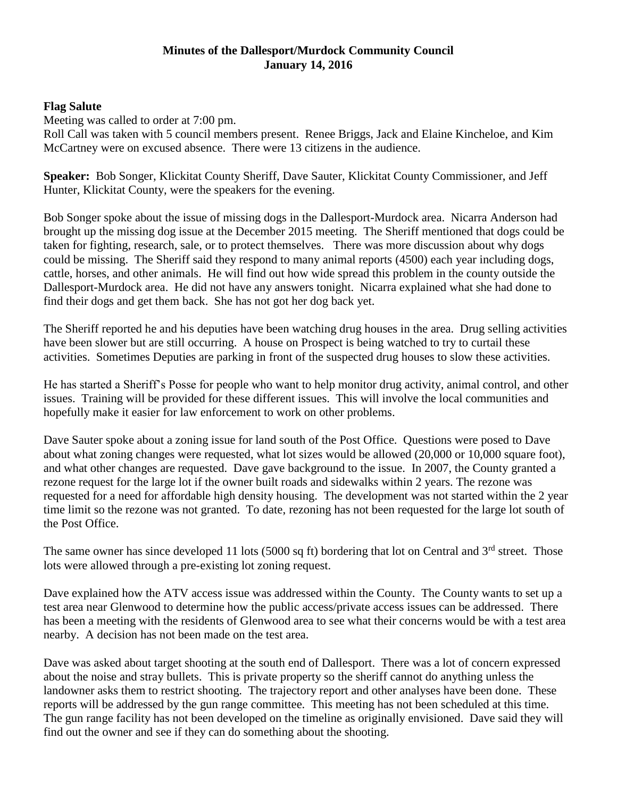# **Minutes of the Dallesport/Murdock Community Council January 14, 2016**

## **Flag Salute**

Meeting was called to order at 7:00 pm.

Roll Call was taken with 5 council members present. Renee Briggs, Jack and Elaine Kincheloe, and Kim McCartney were on excused absence. There were 13 citizens in the audience.

**Speaker:** Bob Songer, Klickitat County Sheriff, Dave Sauter, Klickitat County Commissioner, and Jeff Hunter, Klickitat County, were the speakers for the evening.

Bob Songer spoke about the issue of missing dogs in the Dallesport-Murdock area. Nicarra Anderson had brought up the missing dog issue at the December 2015 meeting. The Sheriff mentioned that dogs could be taken for fighting, research, sale, or to protect themselves. There was more discussion about why dogs could be missing. The Sheriff said they respond to many animal reports (4500) each year including dogs, cattle, horses, and other animals. He will find out how wide spread this problem in the county outside the Dallesport-Murdock area. He did not have any answers tonight. Nicarra explained what she had done to find their dogs and get them back. She has not got her dog back yet.

The Sheriff reported he and his deputies have been watching drug houses in the area. Drug selling activities have been slower but are still occurring. A house on Prospect is being watched to try to curtail these activities. Sometimes Deputies are parking in front of the suspected drug houses to slow these activities.

He has started a Sheriff's Posse for people who want to help monitor drug activity, animal control, and other issues. Training will be provided for these different issues. This will involve the local communities and hopefully make it easier for law enforcement to work on other problems.

Dave Sauter spoke about a zoning issue for land south of the Post Office. Questions were posed to Dave about what zoning changes were requested, what lot sizes would be allowed (20,000 or 10,000 square foot), and what other changes are requested. Dave gave background to the issue. In 2007, the County granted a rezone request for the large lot if the owner built roads and sidewalks within 2 years. The rezone was requested for a need for affordable high density housing. The development was not started within the 2 year time limit so the rezone was not granted. To date, rezoning has not been requested for the large lot south of the Post Office.

The same owner has since developed 11 lots (5000 sq ft) bordering that lot on Central and  $3<sup>rd</sup>$  street. Those lots were allowed through a pre-existing lot zoning request.

Dave explained how the ATV access issue was addressed within the County. The County wants to set up a test area near Glenwood to determine how the public access/private access issues can be addressed. There has been a meeting with the residents of Glenwood area to see what their concerns would be with a test area nearby. A decision has not been made on the test area.

Dave was asked about target shooting at the south end of Dallesport. There was a lot of concern expressed about the noise and stray bullets. This is private property so the sheriff cannot do anything unless the landowner asks them to restrict shooting. The trajectory report and other analyses have been done. These reports will be addressed by the gun range committee. This meeting has not been scheduled at this time. The gun range facility has not been developed on the timeline as originally envisioned. Dave said they will find out the owner and see if they can do something about the shooting.